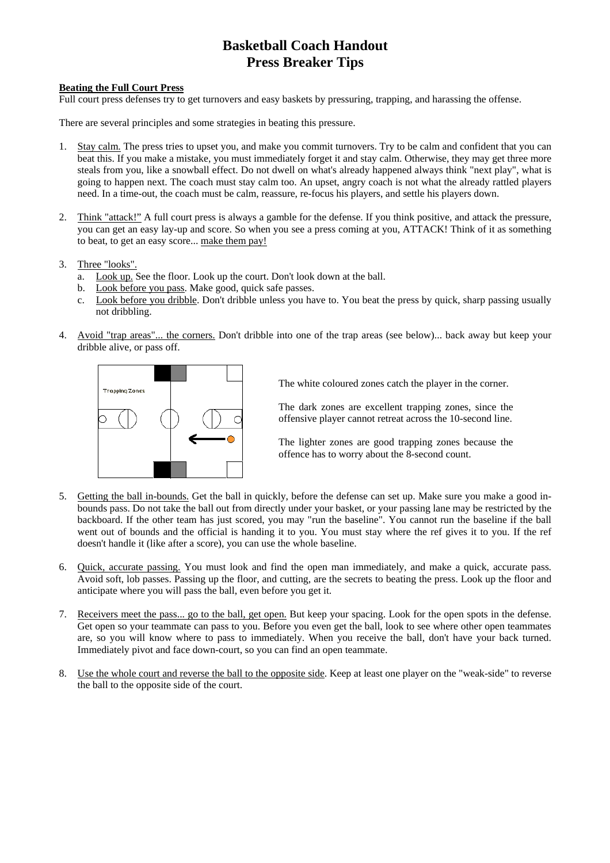## **Basketball Coach Handout Press Breaker Tips**

## **Beating the Full Court Press**

Full court press defenses try to get turnovers and easy baskets by pressuring, trapping, and harassing the offense.

There are several principles and some strategies in beating this pressure.

- 1. Stay calm. The press tries to upset you, and make you commit turnovers. Try to be calm and confident that you can beat this. If you make a mistake, you must immediately forget it and stay calm. Otherwise, they may get three more steals from you, like a snowball effect. Do not dwell on what's already happened always think "next play", what is going to happen next. The coach must stay calm too. An upset, angry coach is not what the already rattled players need. In a time-out, the coach must be calm, reassure, re-focus his players, and settle his players down.
- 2. Think "attack!" A full court press is always a gamble for the defense. If you think positive, and attack the pressure, you can get an easy lay-up and score. So when you see a press coming at you, ATTACK! Think of it as something to beat, to get an easy score... make them pay!
- 3. Three "looks".
	- a. Look up. See the floor. Look up the court. Don't look down at the ball.
	- b. Look before you pass. Make good, quick safe passes.
	- c. Look before you dribble. Don't dribble unless you have to. You beat the press by quick, sharp passing usually not dribbling.
- 4. Avoid "trap areas"... the corners. Don't dribble into one of the trap areas (see below)... back away but keep your dribble alive, or pass off.



The white coloured zones catch the player in the corner.

The dark zones are excellent trapping zones, since the offensive player cannot retreat across the 10-second line.

The lighter zones are good trapping zones because the offence has to worry about the 8-second count.

- 5. Getting the ball in-bounds. Get the ball in quickly, before the defense can set up. Make sure you make a good inbounds pass. Do not take the ball out from directly under your basket, or your passing lane may be restricted by the backboard. If the other team has just scored, you may "run the baseline". You cannot run the baseline if the ball went out of bounds and the official is handing it to you. You must stay where the ref gives it to you. If the ref doesn't handle it (like after a score), you can use the whole baseline.
- 6. Quick, accurate passing. You must look and find the open man immediately, and make a quick, accurate pass. Avoid soft, lob passes. Passing up the floor, and cutting, are the secrets to beating the press. Look up the floor and anticipate where you will pass the ball, even before you get it.
- 7. Receivers meet the pass... go to the ball, get open. But keep your spacing. Look for the open spots in the defense. Get open so your teammate can pass to you. Before you even get the ball, look to see where other open teammates are, so you will know where to pass to immediately. When you receive the ball, don't have your back turned. Immediately pivot and face down-court, so you can find an open teammate.
- 8. Use the whole court and reverse the ball to the opposite side. Keep at least one player on the "weak-side" to reverse the ball to the opposite side of the court.